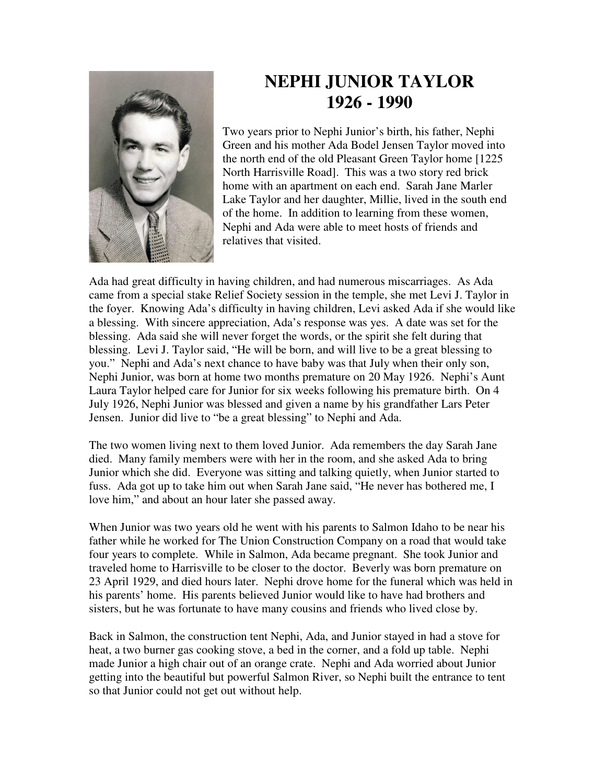

## **NEPHI JUNIOR TAYLOR 1926 - 1990**

Two years prior to Nephi Junior's birth, his father, Nephi Green and his mother Ada Bodel Jensen Taylor moved into the north end of the old Pleasant Green Taylor home [1225 North Harrisville Road]. This was a two story red brick home with an apartment on each end. Sarah Jane Marler Lake Taylor and her daughter, Millie, lived in the south end of the home. In addition to learning from these women, Nephi and Ada were able to meet hosts of friends and relatives that visited.

Ada had great difficulty in having children, and had numerous miscarriages. As Ada came from a special stake Relief Society session in the temple, she met Levi J. Taylor in the foyer. Knowing Ada's difficulty in having children, Levi asked Ada if she would like a blessing. With sincere appreciation, Ada's response was yes. A date was set for the blessing. Ada said she will never forget the words, or the spirit she felt during that blessing. Levi J. Taylor said, "He will be born, and will live to be a great blessing to you." Nephi and Ada's next chance to have baby was that July when their only son, Nephi Junior, was born at home two months premature on 20 May 1926. Nephi's Aunt Laura Taylor helped care for Junior for six weeks following his premature birth. On 4 July 1926, Nephi Junior was blessed and given a name by his grandfather Lars Peter Jensen. Junior did live to "be a great blessing" to Nephi and Ada.

The two women living next to them loved Junior. Ada remembers the day Sarah Jane died. Many family members were with her in the room, and she asked Ada to bring Junior which she did. Everyone was sitting and talking quietly, when Junior started to fuss. Ada got up to take him out when Sarah Jane said, "He never has bothered me, I love him," and about an hour later she passed away.

When Junior was two years old he went with his parents to Salmon Idaho to be near his father while he worked for The Union Construction Company on a road that would take four years to complete. While in Salmon, Ada became pregnant. She took Junior and traveled home to Harrisville to be closer to the doctor. Beverly was born premature on 23 April 1929, and died hours later. Nephi drove home for the funeral which was held in his parents' home. His parents believed Junior would like to have had brothers and sisters, but he was fortunate to have many cousins and friends who lived close by.

Back in Salmon, the construction tent Nephi, Ada, and Junior stayed in had a stove for heat, a two burner gas cooking stove, a bed in the corner, and a fold up table. Nephi made Junior a high chair out of an orange crate. Nephi and Ada worried about Junior getting into the beautiful but powerful Salmon River, so Nephi built the entrance to tent so that Junior could not get out without help.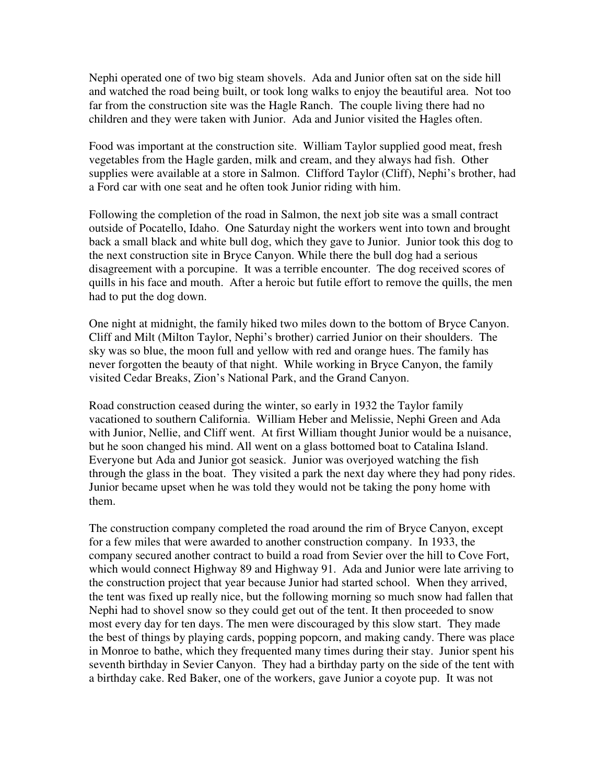Nephi operated one of two big steam shovels. Ada and Junior often sat on the side hill and watched the road being built, or took long walks to enjoy the beautiful area. Not too far from the construction site was the Hagle Ranch. The couple living there had no children and they were taken with Junior. Ada and Junior visited the Hagles often.

Food was important at the construction site. William Taylor supplied good meat, fresh vegetables from the Hagle garden, milk and cream, and they always had fish. Other supplies were available at a store in Salmon. Clifford Taylor (Cliff), Nephi's brother, had a Ford car with one seat and he often took Junior riding with him.

Following the completion of the road in Salmon, the next job site was a small contract outside of Pocatello, Idaho. One Saturday night the workers went into town and brought back a small black and white bull dog, which they gave to Junior. Junior took this dog to the next construction site in Bryce Canyon. While there the bull dog had a serious disagreement with a porcupine. It was a terrible encounter. The dog received scores of quills in his face and mouth. After a heroic but futile effort to remove the quills, the men had to put the dog down.

One night at midnight, the family hiked two miles down to the bottom of Bryce Canyon. Cliff and Milt (Milton Taylor, Nephi's brother) carried Junior on their shoulders. The sky was so blue, the moon full and yellow with red and orange hues. The family has never forgotten the beauty of that night. While working in Bryce Canyon, the family visited Cedar Breaks, Zion's National Park, and the Grand Canyon.

Road construction ceased during the winter, so early in 1932 the Taylor family vacationed to southern California. William Heber and Melissie, Nephi Green and Ada with Junior, Nellie, and Cliff went. At first William thought Junior would be a nuisance, but he soon changed his mind. All went on a glass bottomed boat to Catalina Island. Everyone but Ada and Junior got seasick. Junior was overjoyed watching the fish through the glass in the boat. They visited a park the next day where they had pony rides. Junior became upset when he was told they would not be taking the pony home with them.

The construction company completed the road around the rim of Bryce Canyon, except for a few miles that were awarded to another construction company. In 1933, the company secured another contract to build a road from Sevier over the hill to Cove Fort, which would connect Highway 89 and Highway 91. Ada and Junior were late arriving to the construction project that year because Junior had started school. When they arrived, the tent was fixed up really nice, but the following morning so much snow had fallen that Nephi had to shovel snow so they could get out of the tent. It then proceeded to snow most every day for ten days. The men were discouraged by this slow start. They made the best of things by playing cards, popping popcorn, and making candy. There was place in Monroe to bathe, which they frequented many times during their stay. Junior spent his seventh birthday in Sevier Canyon. They had a birthday party on the side of the tent with a birthday cake. Red Baker, one of the workers, gave Junior a coyote pup. It was not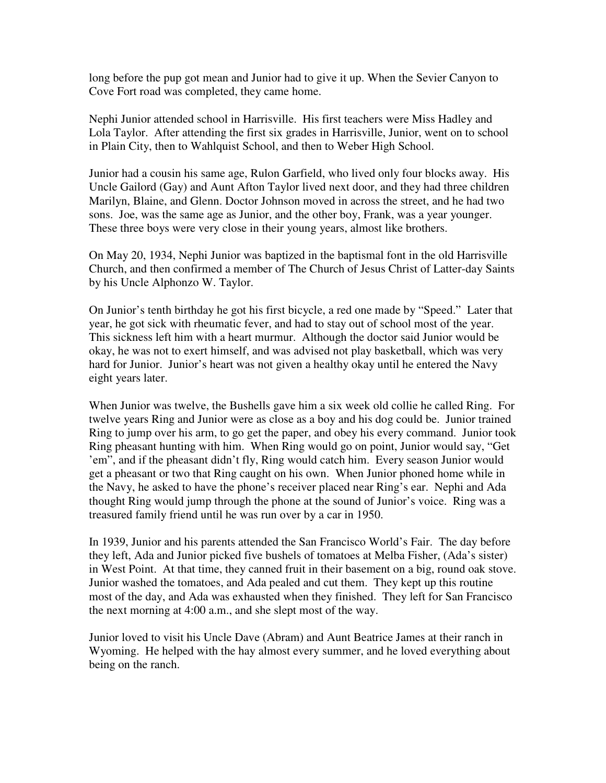long before the pup got mean and Junior had to give it up. When the Sevier Canyon to Cove Fort road was completed, they came home.

Nephi Junior attended school in Harrisville. His first teachers were Miss Hadley and Lola Taylor. After attending the first six grades in Harrisville, Junior, went on to school in Plain City, then to Wahlquist School, and then to Weber High School.

Junior had a cousin his same age, Rulon Garfield, who lived only four blocks away. His Uncle Gailord (Gay) and Aunt Afton Taylor lived next door, and they had three children Marilyn, Blaine, and Glenn. Doctor Johnson moved in across the street, and he had two sons. Joe, was the same age as Junior, and the other boy, Frank, was a year younger. These three boys were very close in their young years, almost like brothers.

On May 20, 1934, Nephi Junior was baptized in the baptismal font in the old Harrisville Church, and then confirmed a member of The Church of Jesus Christ of Latter-day Saints by his Uncle Alphonzo W. Taylor.

On Junior's tenth birthday he got his first bicycle, a red one made by "Speed." Later that year, he got sick with rheumatic fever, and had to stay out of school most of the year. This sickness left him with a heart murmur. Although the doctor said Junior would be okay, he was not to exert himself, and was advised not play basketball, which was very hard for Junior. Junior's heart was not given a healthy okay until he entered the Navy eight years later.

When Junior was twelve, the Bushells gave him a six week old collie he called Ring. For twelve years Ring and Junior were as close as a boy and his dog could be. Junior trained Ring to jump over his arm, to go get the paper, and obey his every command. Junior took Ring pheasant hunting with him. When Ring would go on point, Junior would say, "Get 'em", and if the pheasant didn't fly, Ring would catch him. Every season Junior would get a pheasant or two that Ring caught on his own. When Junior phoned home while in the Navy, he asked to have the phone's receiver placed near Ring's ear. Nephi and Ada thought Ring would jump through the phone at the sound of Junior's voice. Ring was a treasured family friend until he was run over by a car in 1950.

In 1939, Junior and his parents attended the San Francisco World's Fair. The day before they left, Ada and Junior picked five bushels of tomatoes at Melba Fisher, (Ada's sister) in West Point. At that time, they canned fruit in their basement on a big, round oak stove. Junior washed the tomatoes, and Ada pealed and cut them. They kept up this routine most of the day, and Ada was exhausted when they finished. They left for San Francisco the next morning at 4:00 a.m., and she slept most of the way.

Junior loved to visit his Uncle Dave (Abram) and Aunt Beatrice James at their ranch in Wyoming. He helped with the hay almost every summer, and he loved everything about being on the ranch.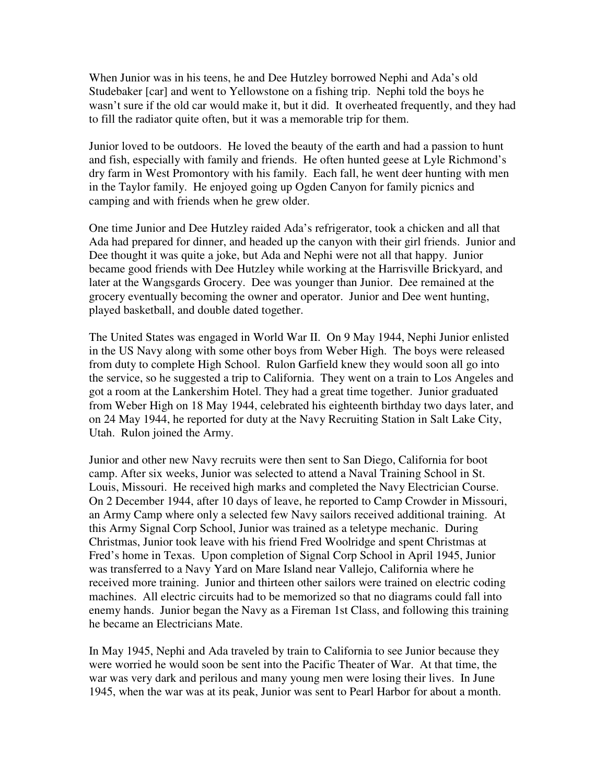When Junior was in his teens, he and Dee Hutzley borrowed Nephi and Ada's old Studebaker [car] and went to Yellowstone on a fishing trip. Nephi told the boys he wasn't sure if the old car would make it, but it did. It overheated frequently, and they had to fill the radiator quite often, but it was a memorable trip for them.

Junior loved to be outdoors. He loved the beauty of the earth and had a passion to hunt and fish, especially with family and friends. He often hunted geese at Lyle Richmond's dry farm in West Promontory with his family. Each fall, he went deer hunting with men in the Taylor family. He enjoyed going up Ogden Canyon for family picnics and camping and with friends when he grew older.

One time Junior and Dee Hutzley raided Ada's refrigerator, took a chicken and all that Ada had prepared for dinner, and headed up the canyon with their girl friends. Junior and Dee thought it was quite a joke, but Ada and Nephi were not all that happy. Junior became good friends with Dee Hutzley while working at the Harrisville Brickyard, and later at the Wangsgards Grocery. Dee was younger than Junior. Dee remained at the grocery eventually becoming the owner and operator. Junior and Dee went hunting, played basketball, and double dated together.

The United States was engaged in World War II. On 9 May 1944, Nephi Junior enlisted in the US Navy along with some other boys from Weber High. The boys were released from duty to complete High School. Rulon Garfield knew they would soon all go into the service, so he suggested a trip to California. They went on a train to Los Angeles and got a room at the Lankershim Hotel. They had a great time together. Junior graduated from Weber High on 18 May 1944, celebrated his eighteenth birthday two days later, and on 24 May 1944, he reported for duty at the Navy Recruiting Station in Salt Lake City, Utah. Rulon joined the Army.

Junior and other new Navy recruits were then sent to San Diego, California for boot camp. After six weeks, Junior was selected to attend a Naval Training School in St. Louis, Missouri. He received high marks and completed the Navy Electrician Course. On 2 December 1944, after 10 days of leave, he reported to Camp Crowder in Missouri, an Army Camp where only a selected few Navy sailors received additional training. At this Army Signal Corp School, Junior was trained as a teletype mechanic. During Christmas, Junior took leave with his friend Fred Woolridge and spent Christmas at Fred's home in Texas. Upon completion of Signal Corp School in April 1945, Junior was transferred to a Navy Yard on Mare Island near Vallejo, California where he received more training. Junior and thirteen other sailors were trained on electric coding machines. All electric circuits had to be memorized so that no diagrams could fall into enemy hands. Junior began the Navy as a Fireman 1st Class, and following this training he became an Electricians Mate.

In May 1945, Nephi and Ada traveled by train to California to see Junior because they were worried he would soon be sent into the Pacific Theater of War. At that time, the war was very dark and perilous and many young men were losing their lives. In June 1945, when the war was at its peak, Junior was sent to Pearl Harbor for about a month.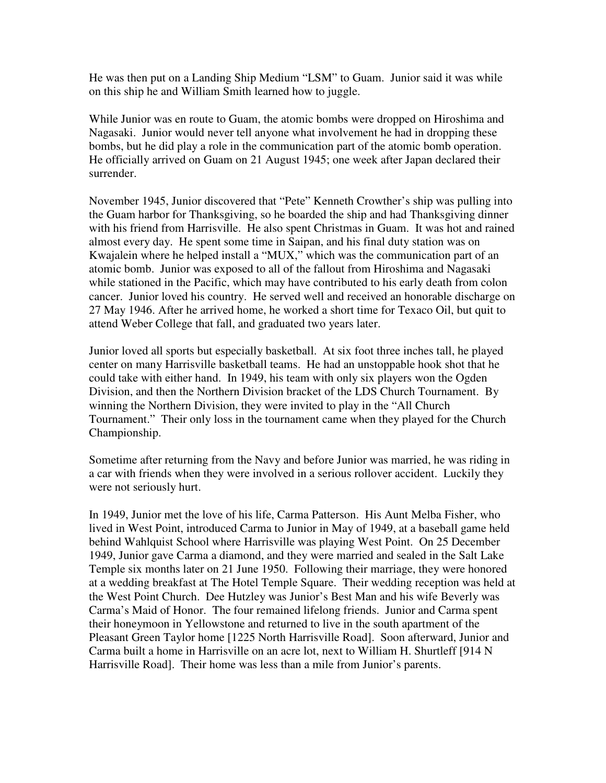He was then put on a Landing Ship Medium "LSM" to Guam. Junior said it was while on this ship he and William Smith learned how to juggle.

While Junior was en route to Guam, the atomic bombs were dropped on Hiroshima and Nagasaki. Junior would never tell anyone what involvement he had in dropping these bombs, but he did play a role in the communication part of the atomic bomb operation. He officially arrived on Guam on 21 August 1945; one week after Japan declared their surrender.

November 1945, Junior discovered that "Pete" Kenneth Crowther's ship was pulling into the Guam harbor for Thanksgiving, so he boarded the ship and had Thanksgiving dinner with his friend from Harrisville. He also spent Christmas in Guam. It was hot and rained almost every day. He spent some time in Saipan, and his final duty station was on Kwajalein where he helped install a "MUX," which was the communication part of an atomic bomb. Junior was exposed to all of the fallout from Hiroshima and Nagasaki while stationed in the Pacific, which may have contributed to his early death from colon cancer. Junior loved his country. He served well and received an honorable discharge on 27 May 1946. After he arrived home, he worked a short time for Texaco Oil, but quit to attend Weber College that fall, and graduated two years later.

Junior loved all sports but especially basketball. At six foot three inches tall, he played center on many Harrisville basketball teams. He had an unstoppable hook shot that he could take with either hand. In 1949, his team with only six players won the Ogden Division, and then the Northern Division bracket of the LDS Church Tournament. By winning the Northern Division, they were invited to play in the "All Church Tournament." Their only loss in the tournament came when they played for the Church Championship.

Sometime after returning from the Navy and before Junior was married, he was riding in a car with friends when they were involved in a serious rollover accident. Luckily they were not seriously hurt.

In 1949, Junior met the love of his life, Carma Patterson. His Aunt Melba Fisher, who lived in West Point, introduced Carma to Junior in May of 1949, at a baseball game held behind Wahlquist School where Harrisville was playing West Point. On 25 December 1949, Junior gave Carma a diamond, and they were married and sealed in the Salt Lake Temple six months later on 21 June 1950. Following their marriage, they were honored at a wedding breakfast at The Hotel Temple Square. Their wedding reception was held at the West Point Church. Dee Hutzley was Junior's Best Man and his wife Beverly was Carma's Maid of Honor. The four remained lifelong friends. Junior and Carma spent their honeymoon in Yellowstone and returned to live in the south apartment of the Pleasant Green Taylor home [1225 North Harrisville Road]. Soon afterward, Junior and Carma built a home in Harrisville on an acre lot, next to William H. Shurtleff [914 N Harrisville Road]. Their home was less than a mile from Junior's parents.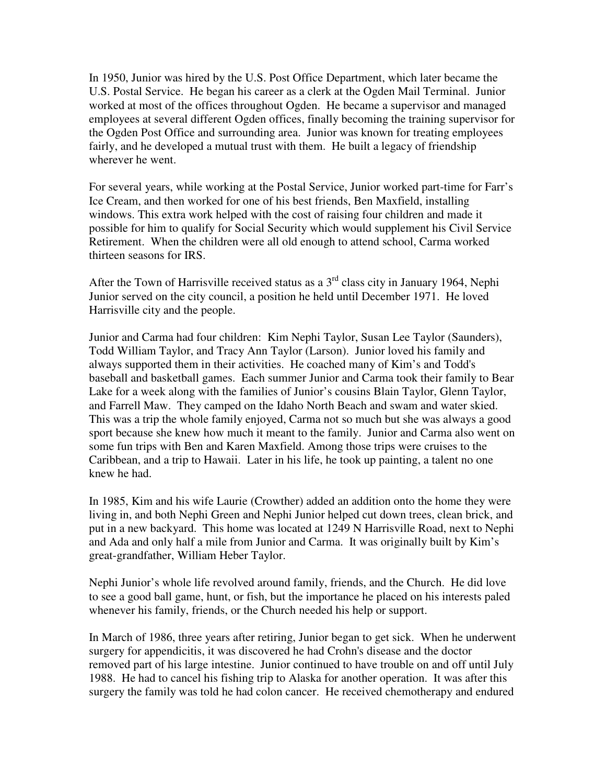In 1950, Junior was hired by the U.S. Post Office Department, which later became the U.S. Postal Service. He began his career as a clerk at the Ogden Mail Terminal. Junior worked at most of the offices throughout Ogden. He became a supervisor and managed employees at several different Ogden offices, finally becoming the training supervisor for the Ogden Post Office and surrounding area. Junior was known for treating employees fairly, and he developed a mutual trust with them. He built a legacy of friendship wherever he went.

For several years, while working at the Postal Service, Junior worked part-time for Farr's Ice Cream, and then worked for one of his best friends, Ben Maxfield, installing windows. This extra work helped with the cost of raising four children and made it possible for him to qualify for Social Security which would supplement his Civil Service Retirement. When the children were all old enough to attend school, Carma worked thirteen seasons for IRS.

After the Town of Harrisville received status as a  $3<sup>rd</sup>$  class city in January 1964, Nephi Junior served on the city council, a position he held until December 1971. He loved Harrisville city and the people.

Junior and Carma had four children: Kim Nephi Taylor, Susan Lee Taylor (Saunders), Todd William Taylor, and Tracy Ann Taylor (Larson). Junior loved his family and always supported them in their activities. He coached many of Kim's and Todd's baseball and basketball games. Each summer Junior and Carma took their family to Bear Lake for a week along with the families of Junior's cousins Blain Taylor, Glenn Taylor, and Farrell Maw. They camped on the Idaho North Beach and swam and water skied. This was a trip the whole family enjoyed, Carma not so much but she was always a good sport because she knew how much it meant to the family. Junior and Carma also went on some fun trips with Ben and Karen Maxfield. Among those trips were cruises to the Caribbean, and a trip to Hawaii. Later in his life, he took up painting, a talent no one knew he had.

In 1985, Kim and his wife Laurie (Crowther) added an addition onto the home they were living in, and both Nephi Green and Nephi Junior helped cut down trees, clean brick, and put in a new backyard. This home was located at 1249 N Harrisville Road, next to Nephi and Ada and only half a mile from Junior and Carma. It was originally built by Kim's great-grandfather, William Heber Taylor.

Nephi Junior's whole life revolved around family, friends, and the Church. He did love to see a good ball game, hunt, or fish, but the importance he placed on his interests paled whenever his family, friends, or the Church needed his help or support.

In March of 1986, three years after retiring, Junior began to get sick. When he underwent surgery for appendicitis, it was discovered he had Crohn's disease and the doctor removed part of his large intestine. Junior continued to have trouble on and off until July 1988. He had to cancel his fishing trip to Alaska for another operation. It was after this surgery the family was told he had colon cancer. He received chemotherapy and endured